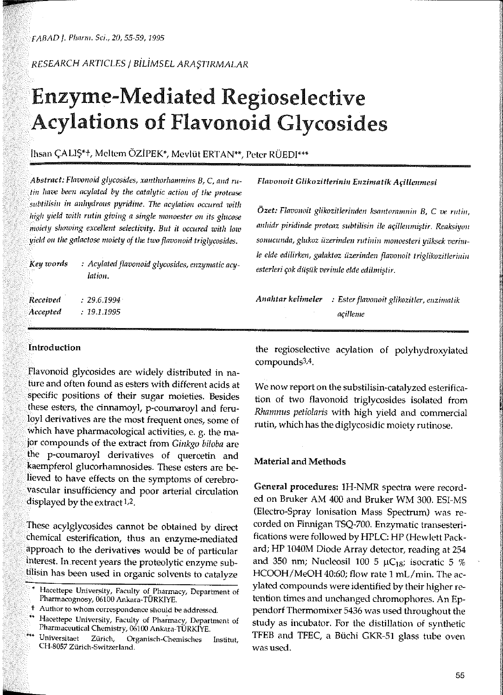*RESEARCH AR.TICLES* /BİLİMSEL ARAŞTIRMALAR

# Enzyme-Mediated Regioselective Acylations of Flavonoid Glycosides

## Ihsan ÇALIŞ\*t, Meltem ÖZİPEK\*, Mcvlüt ERTAN\*\*, Petcr RÜEDI\*\*\*

*Abstract: Flavonoid glycosides, xanthorhamnins B, C, and rutin* lıaı~ *been acylated by the catalytic* actioıı *of the protense*   $s$ ubtilisin in anhydrous pyridine. The acylation occured with lıiglı *yield* roitlı *rutin giving a single monoester* **011** *its* glııcose rııoicty slıoıoing *excellent selectivity. But it* occııred witlı loıv *yield on the galactose moiety of the two flavonoid triglycosides.* 

| Key words | : Acylated flavonoid glycosides, enzymatic acy-<br>lation. |
|-----------|------------------------------------------------------------|
| Received  | $-2961994$                                                 |
| Accepted  | : 19.1.1995                                                |
|           |                                                            |

## *Flavouoit* Glikozitlerirıiu Eıızinıatik Açilleunıesi

*Özet: Flavonoit glikozitlerinden* ksantornnınin *B,* **C** *ve rutin,*  anlıidr *piridinde proteaz subtilisin ile* açillenmiştir. *Reaksiyo11 sonucunda, glukoz üzerinden rutinin* nıonoesteri *yüksek* vcrinı-*Ie elde edilirken, galaktoz üzerinden flavonoit* triglikozitleriııiıı *esterleri çok* düşük *verirnle elde* edilmiştir.

*Anahtar* kelinıeler *: Ester flavonoit glikozit/er, enzhnatik*  açillenıe

## Introduction

Flavonoid glycosides are widely distributed in nature and often found as esters with different acids at specific positions of their sugar moieties. Besides these esters, the cinnamoyl, p-coumaroyl and feruloyl derivatives are the most frequent ones, some of which have pharmacological activities, e. g. the major cornpounds of the extract from *Ginkgo bi/oba* are the p-coumaroyl derivatives of quercetin and kaempferol glucorhamnosides. These esters are believed to have effects on the symptoms of cerebrovascular insufficiency and poor arterial circulation displayed by the extract 1,2.

These acylglycosides cannot be obtained by direct chemical esterification, thus an enzyme-mediated approach to the derivatives would be of particular interest. In.recent years the proteolytic enzyme subtilisin has been used in organic solvents to catalyze

the regioselective acylation of polyhydroxylated cornpounds3.4.

We now report on the substilisin-catalyzed esterification of two flavonoid triglycosides isolated from *Rhamnus petiolaris* with high yield and commercial rutin, which has the diglycosidic moiety rutinose.

#### Material and Methods

General procedures: lH-NMR spectra were record· ed on Bruker AM 400 and Bruker WM 300. ESI-MS (Electro-Spray Ionisation Mass Spectrum) was recorded on Finnigan TSQ-700. Enzymatic transesterifications were followed by HPLC: HP (Hewlett Packard; HP 1040M Diode Array detector, reading at <sup>254</sup> and 350 nm; Nucleosil 100 5  $\mu$ C<sub>18</sub>; isocratic 5 % HCOOH/MeOH 40:60; flow rate 1 mL/min. The acylated compounds were identified by their higher retention times and unchanged chromophores. An Eppendorf Thermornixer 5436 was used throughout the study as incubator. For the distillation of synthetic TFEB and TFEC, a Büchi GKR-51 glass tube oven **wasuscd.** 

**Hacettepe Univer.sity, Faculty of Pharmacy, Department of Pharmacognosy, 06100 Ankara-TÜRKiYE.** 

**t** Author to whom correspondence should be addressed.

<sup>\*\*</sup> **Hacettepe U11iversity, Faculty of Pha;macy, Department of Pharmaceutical Chemistry, 06100 Ankara-TÜRKiYE.** 

Universitaet Zürich, Organisch-Chemisches Institut, **CH-8057 Zürich-Switzerland.**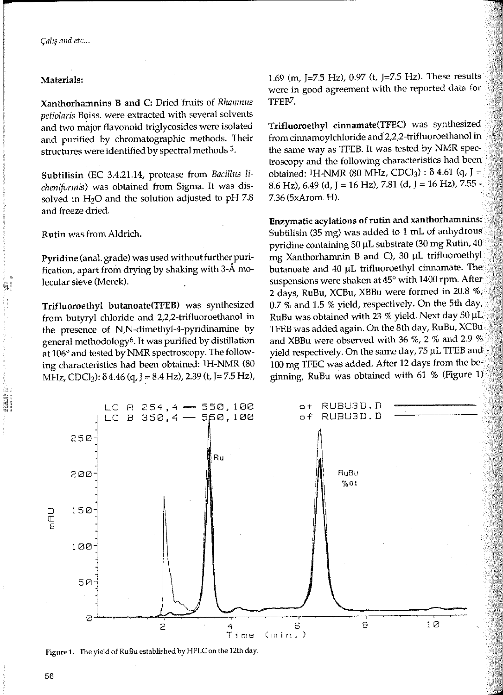### Materials:

Xanthorhamnins B and C: Dried fruits of Rhamnus *petiolaris* Boiss. were extracted with several solvents and two major flavonoid triglycosides were isolated and purified by chromatographic methods. Their structures were identified by spectral methods 5.

Subtilisin (EC 3.4.21.14, protease from Bacillııs *li*cheniforınis) was obtained from Sigma. lt was dissolved in  $H<sub>2</sub>O$  and the solution adjusted to pH 7.8 and freeze dried.

Rutin was from Aldrich.

•;11

Pyridine (ana!. grade) was used without further purification, apart from drying by shaking with 3- $\AA$  molecular sieve (Merek).

Trifluoroethyl butanoate(TFEB) was synthesized from butyryl chloride and 2,2,2-trifluoroethanol in the presence of N,N-dimethyl-4-pyridinamine by general methodology6. it was purified by distillation at 106° and tested by NMR spectroscopy. The following characteristics had been obtained: IH-NMR (80 MHz, CDCl<sub>3</sub>):  $\delta$  4.46 (q, J = 8.4 Hz), 2.39 (t, J = 7.5 Hz), 1.69 (m, )=7.5 Hz), 0.97 (t, J=7.5 Hz). These results were in good agreement with the reported data for TFEB7.

Trifluoroethyl cinnamate(TFEC) was synthesized from cinnamoylchloride and 2,2,2-trifluoroethanol in the same way as TFEB. It was tested by NMR spectroscopy and the following characteristics had been obtained: <sup>1</sup>H-NMR (80 MHz, CDCl<sub>3</sub>) :  $\delta$  4.61 (q, J = 8.6 Hz), 6.49 (d, J = 16 Hz), 7.81 (d, J = 16 Hz), 7.55 -7.36 (5xArom. H).

Enzymatic acylations of rutin and xanthorhamnins: Subtilisin (35 mg) was added to 1 mL of anhydrous pyridine containing 50 µL substrate (30 mg Rutin, 40 mg Xanthorharnnin B and C), 30 µL trifluoroethyl butanoate and 40 µL trifluoroethyl cinnamate. The suspensions were shaken at 45° with 1400 rpm. After 2 days, RuBu, XCBu, XBBu were formed in 20.8 %, 0.7 % and 1.5 % yield, respectively. On the 5th day, RuBu was obtained with 23 % yield. Next day 50 µL TFEB was added again. On the 8th day, RuBu, XCBu and XBBu were observed with 36 %, 2 % and 2.9 % <sup>y</sup>ield respectively. On the same day, 75 µL TFEB and 100 mg TFEC was added. After 12 days from the be<sup>g</sup>inning, RuBu was obtained with 61 % (Figure 1)



**Figure 1. TI1e yield of RuBu established by HPLC on the 12th day.**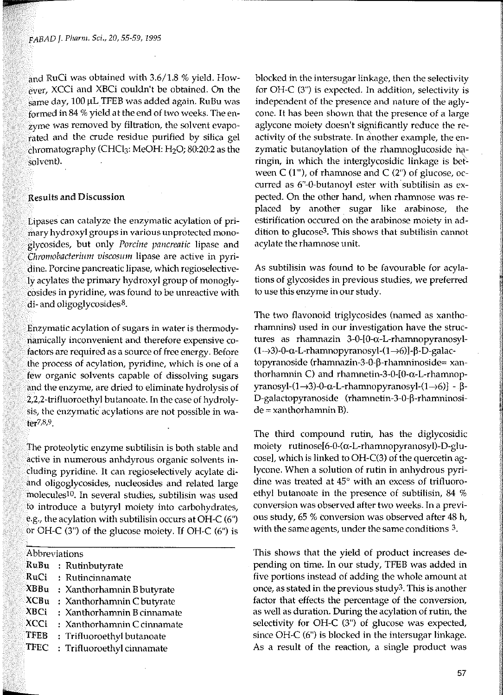and RuCi was obtained with  $3.6/1.8$  % yield. However, XCCi and XBCi couldn't be obtained. On the same day, 100 µL TFEB was added again. RuBu was formed in 84 % yield at the end of two weeks. The enzyme was removed by filtration, the solvent evaporated and the crude residue purified by silica gel chromatography (CHCl<sub>3</sub>: MeOH:  $H<sub>2</sub>O$ ; 80:20:2 as the solvent).

## Results and Discussion

Lipases can catalyze the enzymatic acylation of primary hydroxyl groups in various unprotected monoglycosides, but only *Porcine pancreatic* lipase and Chromobacterium viscosum lipase are active in pyridine. Porcine pancreatic lipase, which regioselectively acylates the primary hydroxyl group of monoglycosides in pyridine, was found to be unreactive with di- and oligoglycosides $8$ .

Enzymatic acylation of sugars in water is thermodynamically inconvenient and therefore expensive cofactors are required as a source of free energy. Before the process of acylation, pyridine, which is one of a few organic solvents capable of dissolving sugars and the enzyme, are dried to eliminate hydrolysis of 2,2,2-trifluoroethyl butanoate. In the case of hydrolysis, the enzymatic acylations are not possible in water7,8,9.

The proteolytic enzyme subtilisin is both stable and **active in numerous anhdyrous organic solvents in**cluding pyridine. it can regioselectively acylate diand oligoglycosides, nucleosides and related large molecules<sup>10</sup>. In several studies, subtilisin was used to introduce a butyryl moiety into carbohydrates, e.g., the acylation with subtilisin occurs at OH-C (6") or OH-C (3") of the glucose moiety. If OH-C (6") is

|  |  |  | Abbreviations |  |
|--|--|--|---------------|--|
|  |  |  |               |  |

- RuBu : Rutinbutyrate
- RuCi : Rutincinnamate
- $XBBu : Xanthorhamnin B butyrate$
- $XCBu$  : Xanthorhamnin C butyrate
- XBCi : Xanthorhamnin B cinnamate
- XCCi : Xanthorhamnin C cinnamate
- TFEB Trifluoroethyl butanoate
- TFEC Trifluoroethyl cinnamate

blocked in the intersugar linkage, then the selectivity for OH-C (3") is expected. In addition, selectivity is independent of the presence and nature of the aglycone. It has been shown that the presence of a large aglycone moiety doesn't significantly reduce the reactivity of the substrate. In another example, the enzymatic butanoylation of the rhamnoglucoside haringin, in which the interglycosidic linkage is between  $C(1<sup>m</sup>)$ , of rhamnose and  $C(2<sup>m</sup>)$  of glucose, occurred as 6"-0-butanoyl ester with subtilisin as expected. On the other hand, when rhamnose was replaced by another sugar like arabinose, the estirification occured on the arabinose moiety in addition to glucose3. This shows that subtilisin cannot acylate the rhamnose unit.

As subtilisin was found to be favourable for acylations of glycosides in previous studies, we preferred to use this enzyme in our study.

The two flavonoid triglycosides (named as xanthorhamnins} used in our investigation have the structures as rhamnazin 3-0-[0-a-L-rhamnopyranosyl-  $(1\rightarrow3)-0$ -a-L-rhamnopyranosyl- $(1\rightarrow6)$ ]- $\beta$ -D-galactopyranoside (rhamnazin-3-0-β-rhamninoside= xanthorhamnin C) and rhamnetin-3-0-[0-a-L-rhamnop- $\gamma$ ranosyl- $(1\rightarrow3)$ -0- $\alpha$ -L-rhamnopyranosyl- $(1\rightarrow6)$ ] -  $\beta$ -D-galactopyranoside (rhamnetin-3-0-P-rhamninosi $de = xanthorhamnin B$ ).

The third compound rutin, has the diglycosidic moiety rutinose[6-0-(a-L-rhamnopyranosyl)-D-glucose], which is linked to OH-C(3) of the quercetin aglycone. When a solution of rutin in anhydrous pyridine was treated at 45° with an excess of trifluoroethyl butanoate in the presence of subtilisin, 84 % conversion was observed after two weeks. In a previous study, 65 % tonversion was observed after 48 h, with the same agents, under the same conditions 3.

This shows that the yield of product increases depending on time. In our study, TFEB was added in five portions instead of adding the whole amount at once, as stated in the previous study3. This is another factor that effects the percentage of the conversion, as well as duration. During the acylation of rutin, the selcctivity for OH-C (3") of glucose was expected, since OH-C (6") is blocked in the intersugar linkage. As a result of the reaction, a single product was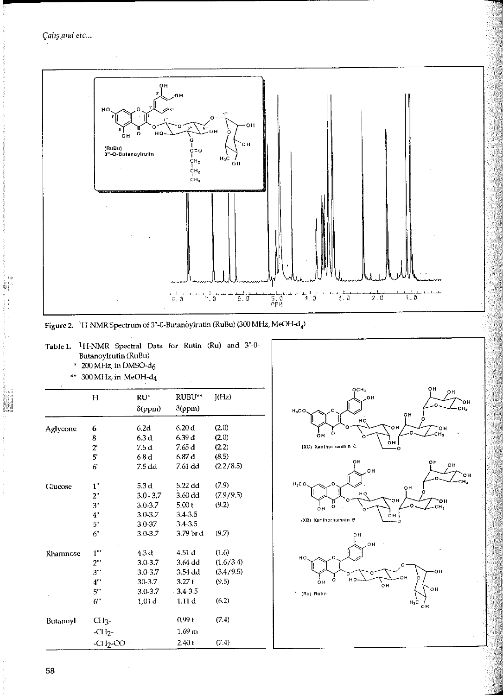世報



Figure 2. <sup>1</sup>H-NMR Spectrum of 3"-0-Butanoylrutin (RuBu) (300 MHz, MeOH-d<sub>4</sub>)

Table 1. <sup>1</sup>H-NMR Spectral Data for Rutin (Ru) and 3"-0-Butanoylrutin (RuBu)

 $*$  200 MHz, in DMSO-d<sub>6</sub>

\*\* 300 MHz, in MeOH-d4

|          | Н                | RU*               | RUBU**            | J(Hz)     |
|----------|------------------|-------------------|-------------------|-----------|
|          |                  | $\delta$ (ppm)    | δ(ppm)            |           |
| Aglycone | 6                | 6.2d              | 6.20d             | (2.0)     |
|          | 8                | 6.3 d             | 6.39 d            | (2.0)     |
|          | $2^{\circ}$      | 7.5 d             | 7.65 d            | (2.2)     |
|          | 5'               | 6.8 d             | 6.87 d            | (8.5)     |
|          | $6^{\circ}$      | 7.5 dd            | 7.61 dd           | (2.2/8.5) |
| Clucose  | $\mathbf{1}^n$   | 5.3 <sub>d</sub>  | 5,22 dd           | (7.9)     |
|          | 2"               | $3.0 - 3.7$       | $3.60$ dd         | (7.9/9.5) |
|          | 3"               | $3.0 - 3.7$       | 5.00 <sub>t</sub> | (9.2)     |
|          | 4"               | 3.0-3.7           | $3.4 - 3.5$       |           |
|          | 5"               | 3.0-37            | 3.4-3.5           |           |
|          | 6"               | 3.0-3.7           | 3.79 br d         | (9.7)     |
| Rhamnose | $1$ "            | 4.3d              | 4.51 d            | (1.6)     |
|          | $2^{\omega}$     | 3.0-3.7           | $3.64$ dd         | (1.6/3.4) |
|          | $3^{\circ\circ}$ | $3.0 - 3.7$       | 3.54 dd           | (3.4/9.5) |
|          | 4"               | 30-3.7            | 3.27t             | (9.5)     |
|          | 5"               | 3.0-3.7           | $-3.4 - 3.5$      |           |
|          | 6"               | 1.01 <sub>d</sub> | 1.11d             | (6.2)     |
| Butanoyl | Cl <sub>13</sub> |                   | 0.99t             | (7.4)     |
|          | $-CH2$           |                   | 1.69 <sub>m</sub> |           |
|          | $-CI I2-CO$      |                   | 2.40 t            | (7.4)     |